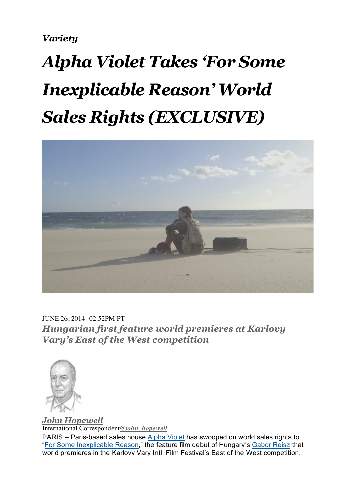*Variety*

## *Alpha Violet Takes 'For Some Inexplicable Reason' World Sales Rights (EXCLUSIVE)*



JUNE 26, 2014 | 02:52PM PT *Hungarian first feature world premieres at Karlovy Vary's East of the West competition*



*John Hopewell* International Correspondent*@john\_hopewell*

PARIS – Paris-based sales house Alpha Violet has swooped on world sales rights to "For Some Inexplicable Reason," the feature film debut of Hungary's Gabor Reisz that world premieres in the Karlovy Vary Intl. Film Festival's East of the West competition.